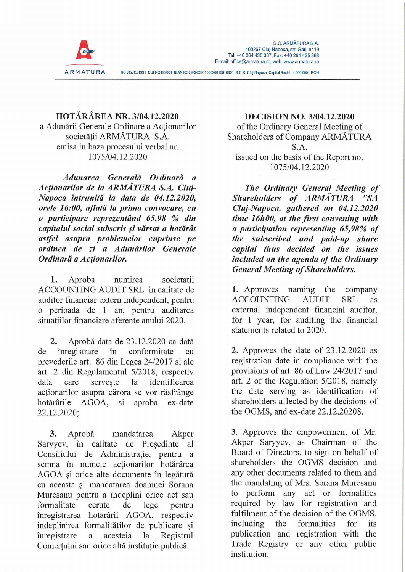

**HOTÄRAREA NR. 3/04.12.2020** a Adunării Generale Ordinare a Actionarilor societății ARMĂTURA S.A. emisa in baza procesului verbal nr. 1075/04.12.2020

*Adunarea Generalä Ordinarä a Acfionarilor de la ARMATURA S.A. Cluj-Napoca intrunitä la data de 04.12.2020, orele 16:00, aflatä la prima convocare, cu o participare reprezentänd 65,98 % din capitalul social subscris §i värsat a hotärät astfei asupra problemelor cuprinse pe ordinea de zi a Adunärilor Generale Ordinarä a Acfionarilor.*

1. Aproba numirea societatii ACCOUNTING AUDIT SRL in calitate de auditor financiar extern independent, pentru o perioada de <sup>1</sup> an, pentru auditarea situatiilor fmanciare aferente anului 2020.

**2.** Aproba data de 23.12.2020 ca datä de inregistrare in confonnitate cu prevederile art. 86 din Legea 24/2017 si ale art. 2 din Regulamentul 5/2018, respectiv data care serveste la identificarea actionarilor asupra cärora se vor räsfränge hotärärile AGOA, si aproba ex-date 22.12.2020;

**3.** Aprobä mandatarea Akper Saryyev, in calitate de Presedinte al Consiliului de Administratie, pentru a semna în numele acționarilor hotărârea AGOA §i orice alte documente in legäturä cu aceasta §i mandatarea doamnei Sorana Muresanu pentru a indeplini orice act sau formalitate cerute de lege pentru inregistrarea hotärärii AGOA, respectiv indeplinirea formalitätilor de publicare §i inregistrare a acesteia la Registrul Comertului sau orice altä institutie publicä.

**DECISION NO. 3/04.12.2020** of the Ordinary General Meeting of Shareholders of Company ARMATURA SA. issued on the basis of the Report no. 1075/04.12.2020

*The Ordinary General Meeting of Shareholders of ARMÄTURA "SA Cluj-Napoca, gathered on 04.12.2020 time 16h00, at the first convening with a participation representing 65,98% of the subscribed and paid-up share Capital thus decided on the issues included* on the agenda of the Ordinary *General Meeting of Shareholders.* 

1. Approves naming the company ACCOUNTING AUDIT SRL as extemal independent financial auditor, for <sup>1</sup> year, for auditing the financial statements related to 2020.

**2.** Approves the date of 23.12.2020 as registration date in compliance with the provisions of art. 86 of Law 24/2017 and art. 2 of the Regulation 5/2018, namely the date serving as identification of shareholders affected by the decisions of the OGMS, and ex-date 22.12.20208.

3. Approves the empowerment of Mr. Akper Saryyev, as Chairman of the Board of Directors, to sign on behalf of shareholders the OGMS decision and any other documents related to them and the mandating of Mrs. Sorana Muresanu to perform any act or formalities required by law for registration and fulfilment of the decision of the OGMS, including the formalities for its publication and registration with the Trade Registry or any other public institution.